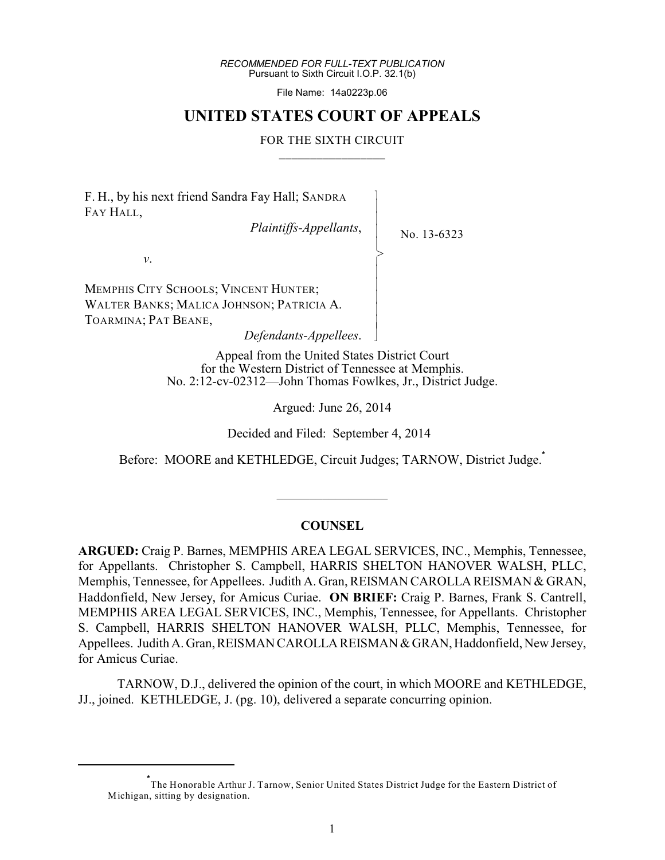*RECOMMENDED FOR FULL-TEXT PUBLICATION* Pursuant to Sixth Circuit I.O.P. 32.1(b)

File Name: 14a0223p.06

# **UNITED STATES COURT OF APPEALS**

#### FOR THE SIXTH CIRCUIT  $\frac{1}{2}$  ,  $\frac{1}{2}$  ,  $\frac{1}{2}$  ,  $\frac{1}{2}$  ,  $\frac{1}{2}$  ,  $\frac{1}{2}$  ,  $\frac{1}{2}$  ,  $\frac{1}{2}$  ,  $\frac{1}{2}$  ,  $\frac{1}{2}$  ,  $\frac{1}{2}$  ,  $\frac{1}{2}$  ,  $\frac{1}{2}$  ,  $\frac{1}{2}$  ,  $\frac{1}{2}$  ,  $\frac{1}{2}$  ,  $\frac{1}{2}$  ,  $\frac{1}{2}$  ,  $\frac{1$

 $\overline{\phantom{a}}$ |<br>| - - - > , - |<br>| - - - N

F. H., by his next friend Sandra Fay Hall; SANDRA FAY HALL,

*Plaintiffs-Appellants*,

No. 13-6323

*v*.

MEMPHIS CITY SCHOOLS; VINCENT HUNTER; WALTER BANKS; MALICA JOHNSON; PATRICIA A. TOARMINA; PAT BEANE,

*Defendants-Appellees*.

Appeal from the United States District Court for the Western District of Tennessee at Memphis. No. 2:12-cv-02312—John Thomas Fowlkes, Jr., District Judge.

Argued: June 26, 2014

Decided and Filed: September 4, 2014

Before: MOORE and KETHLEDGE, Circuit Judges; TARNOW, District Judge. **\***

# **COUNSEL**

 $\mathcal{L}_\text{max}$  , where  $\mathcal{L}_\text{max}$ 

**ARGUED:** Craig P. Barnes, MEMPHIS AREA LEGAL SERVICES, INC., Memphis, Tennessee, for Appellants. Christopher S. Campbell, HARRIS SHELTON HANOVER WALSH, PLLC, Memphis, Tennessee, for Appellees. Judith A. Gran, REISMAN CAROLLA REISMAN & GRAN, Haddonfield, New Jersey, for Amicus Curiae. **ON BRIEF:** Craig P. Barnes, Frank S. Cantrell, MEMPHIS AREA LEGAL SERVICES, INC., Memphis, Tennessee, for Appellants. Christopher S. Campbell, HARRIS SHELTON HANOVER WALSH, PLLC, Memphis, Tennessee, for Appellees. Judith A. Gran, REISMAN CAROLLA REISMAN & GRAN, Haddonfield, New Jersey, for Amicus Curiae.

TARNOW, D.J., delivered the opinion of the court, in which MOORE and KETHLEDGE, JJ., joined. KETHLEDGE, J. (pg. 10), delivered a separate concurring opinion.

The Honorable Arthur J. Tarnow, Senior United States District Judge for the Eastern District of **\*** Michigan, sitting by designation.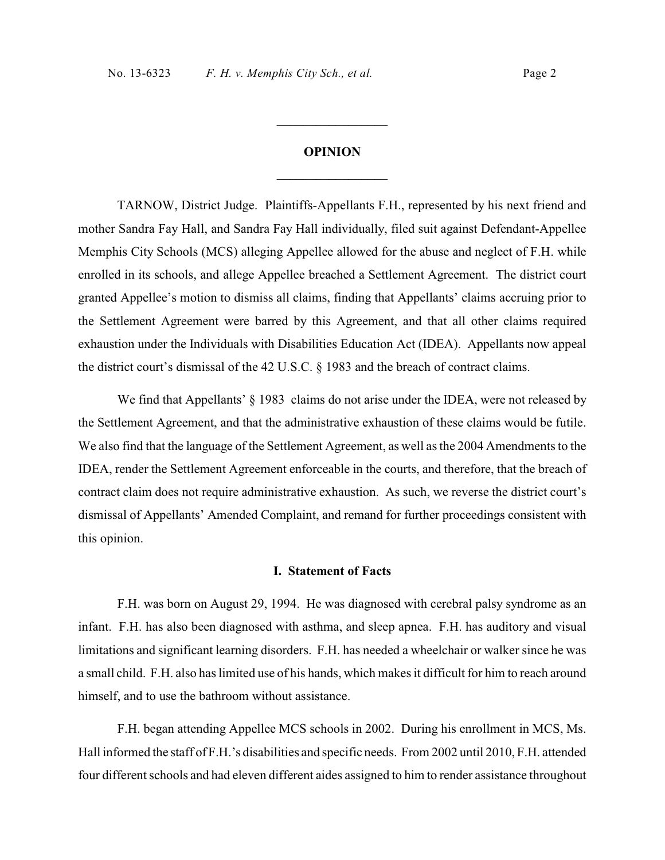# **OPINION \_\_\_\_\_\_\_\_\_\_\_\_\_\_\_\_\_**

**\_\_\_\_\_\_\_\_\_\_\_\_\_\_\_\_\_**

TARNOW, District Judge. Plaintiffs-Appellants F.H., represented by his next friend and mother Sandra Fay Hall, and Sandra Fay Hall individually, filed suit against Defendant-Appellee Memphis City Schools (MCS) alleging Appellee allowed for the abuse and neglect of F.H. while enrolled in its schools, and allege Appellee breached a Settlement Agreement. The district court granted Appellee's motion to dismiss all claims, finding that Appellants' claims accruing prior to the Settlement Agreement were barred by this Agreement, and that all other claims required exhaustion under the Individuals with Disabilities Education Act (IDEA). Appellants now appeal the district court's dismissal of the 42 U.S.C. § 1983 and the breach of contract claims.

We find that Appellants' § 1983 claims do not arise under the IDEA, were not released by the Settlement Agreement, and that the administrative exhaustion of these claims would be futile. We also find that the language of the Settlement Agreement, as well as the 2004 Amendments to the IDEA, render the Settlement Agreement enforceable in the courts, and therefore, that the breach of contract claim does not require administrative exhaustion. As such, we reverse the district court's dismissal of Appellants' Amended Complaint, and remand for further proceedings consistent with this opinion.

#### **I. Statement of Facts**

F.H. was born on August 29, 1994. He was diagnosed with cerebral palsy syndrome as an infant. F.H. has also been diagnosed with asthma, and sleep apnea. F.H. has auditory and visual limitations and significant learning disorders. F.H. has needed a wheelchair or walker since he was a small child. F.H. also has limited use of his hands, which makes it difficult for him to reach around himself, and to use the bathroom without assistance.

F.H. began attending Appellee MCS schools in 2002. During his enrollment in MCS, Ms. Hall informed the staff of F.H.'s disabilities and specific needs. From 2002 until 2010, F.H. attended four different schools and had eleven different aides assigned to him to render assistance throughout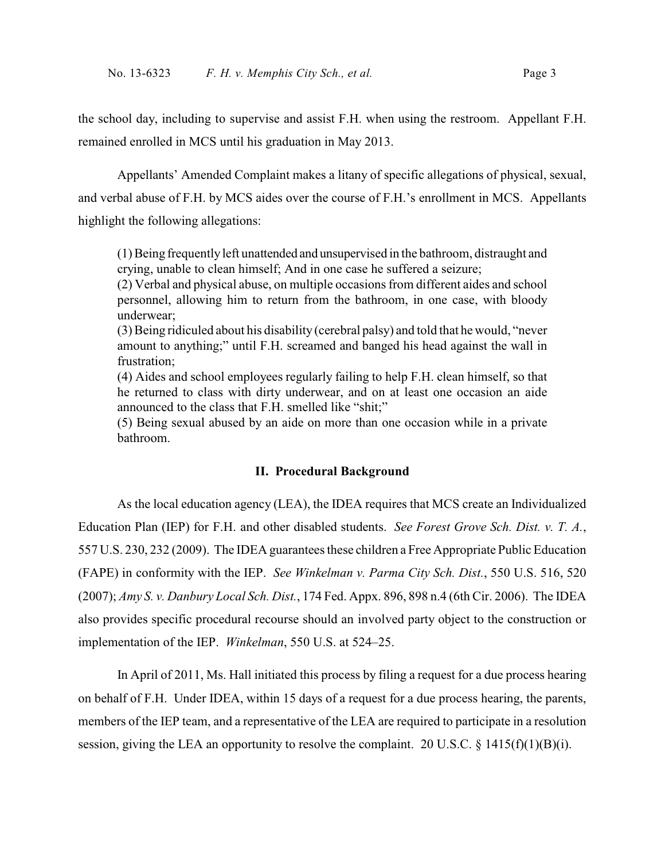the school day, including to supervise and assist F.H. when using the restroom. Appellant F.H. remained enrolled in MCS until his graduation in May 2013.

Appellants' Amended Complaint makes a litany of specific allegations of physical, sexual, and verbal abuse of F.H. by MCS aides over the course of F.H.'s enrollment in MCS. Appellants highlight the following allegations:

(1) Being frequently left unattended and unsupervised in the bathroom, distraught and crying, unable to clean himself; And in one case he suffered a seizure;

(2) Verbal and physical abuse, on multiple occasions from different aides and school personnel, allowing him to return from the bathroom, in one case, with bloody underwear;

(3) Being ridiculed about his disability (cerebral palsy) and told that he would, "never amount to anything;" until F.H. screamed and banged his head against the wall in frustration;

(4) Aides and school employees regularly failing to help F.H. clean himself, so that he returned to class with dirty underwear, and on at least one occasion an aide announced to the class that F.H. smelled like "shit;"

(5) Being sexual abused by an aide on more than one occasion while in a private bathroom.

# **II. Procedural Background**

As the local education agency (LEA), the IDEA requires that MCS create an Individualized Education Plan (IEP) for F.H. and other disabled students. *See Forest Grove Sch. Dist. v. T. A.*, 557 U.S. 230, 232 (2009). The IDEA guarantees these children a Free Appropriate Public Education (FAPE) in conformity with the IEP. *See Winkelman v. Parma City Sch. Dist.*, 550 U.S. 516, 520 (2007); *Amy S. v. Danbury Local Sch. Dist.*, 174 Fed. Appx. 896, 898 n.4 (6th Cir. 2006). The IDEA also provides specific procedural recourse should an involved party object to the construction or implementation of the IEP. *Winkelman*, 550 U.S. at 524–25.

In April of 2011, Ms. Hall initiated this process by filing a request for a due process hearing on behalf of F.H. Under IDEA, within 15 days of a request for a due process hearing, the parents, members of the IEP team, and a representative of the LEA are required to participate in a resolution session, giving the LEA an opportunity to resolve the complaint. 20 U.S.C.  $\S$  1415(f)(1)(B)(i).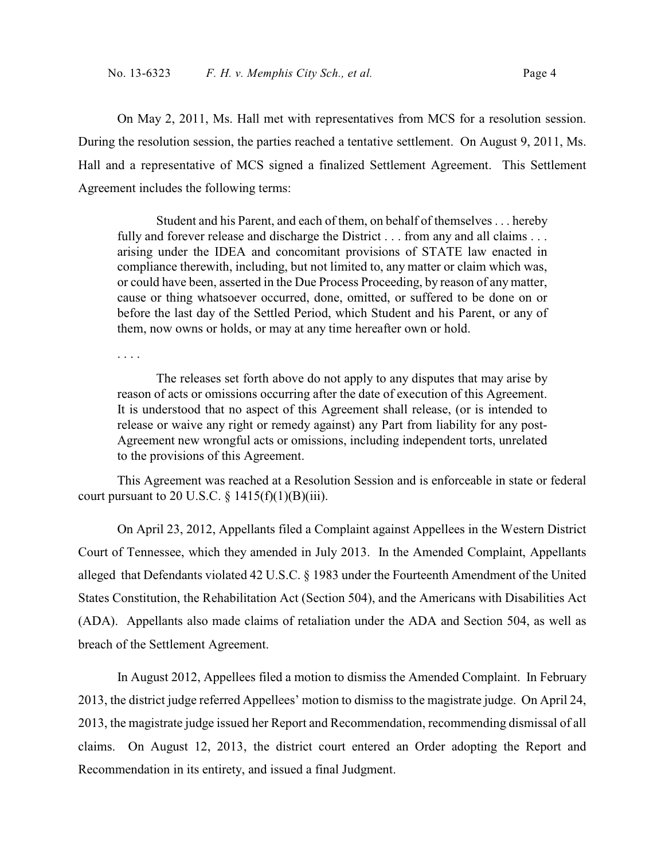On May 2, 2011, Ms. Hall met with representatives from MCS for a resolution session. During the resolution session, the parties reached a tentative settlement. On August 9, 2011, Ms. Hall and a representative of MCS signed a finalized Settlement Agreement. This Settlement Agreement includes the following terms:

Student and his Parent, and each of them, on behalf of themselves . . . hereby fully and forever release and discharge the District . . . from any and all claims . . . arising under the IDEA and concomitant provisions of STATE law enacted in compliance therewith, including, but not limited to, any matter or claim which was, or could have been, asserted in the Due Process Proceeding, by reason of any matter, cause or thing whatsoever occurred, done, omitted, or suffered to be done on or before the last day of the Settled Period, which Student and his Parent, or any of them, now owns or holds, or may at any time hereafter own or hold.

. . . .

The releases set forth above do not apply to any disputes that may arise by reason of acts or omissions occurring after the date of execution of this Agreement. It is understood that no aspect of this Agreement shall release, (or is intended to release or waive any right or remedy against) any Part from liability for any post-Agreement new wrongful acts or omissions, including independent torts, unrelated to the provisions of this Agreement.

This Agreement was reached at a Resolution Session and is enforceable in state or federal court pursuant to 20 U.S.C.  $\S$  1415(f)(1)(B)(iii).

On April 23, 2012, Appellants filed a Complaint against Appellees in the Western District Court of Tennessee, which they amended in July 2013. In the Amended Complaint, Appellants alleged that Defendants violated 42 U.S.C. § 1983 under the Fourteenth Amendment of the United States Constitution, the Rehabilitation Act (Section 504), and the Americans with Disabilities Act (ADA). Appellants also made claims of retaliation under the ADA and Section 504, as well as breach of the Settlement Agreement.

In August 2012, Appellees filed a motion to dismiss the Amended Complaint. In February 2013, the district judge referred Appellees' motion to dismiss to the magistrate judge. On April 24, 2013, the magistrate judge issued her Report and Recommendation, recommending dismissal of all claims. On August 12, 2013, the district court entered an Order adopting the Report and Recommendation in its entirety, and issued a final Judgment.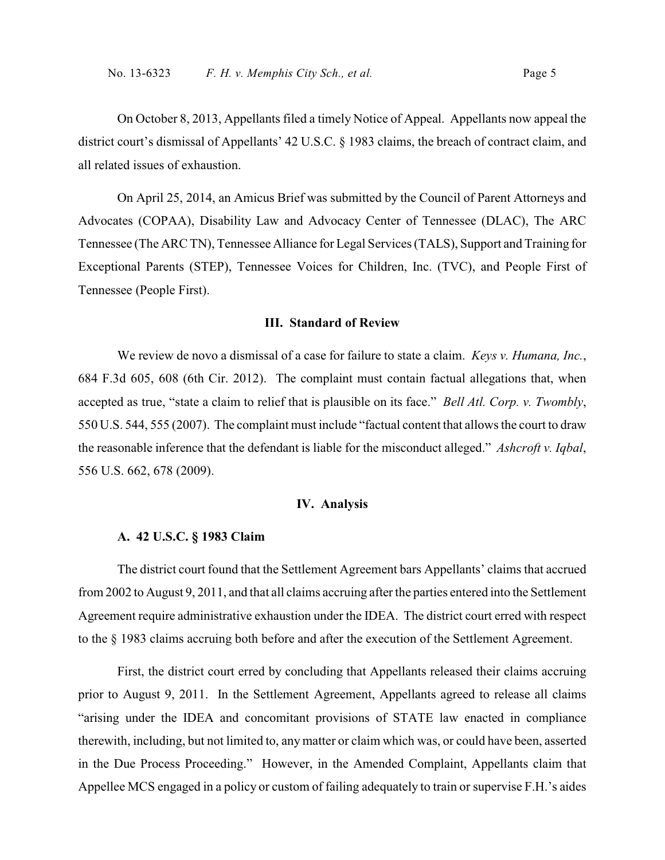On October 8, 2013, Appellants filed a timely Notice of Appeal. Appellants now appeal the district court's dismissal of Appellants' 42 U.S.C. § 1983 claims, the breach of contract claim, and all related issues of exhaustion.

On April 25, 2014, an Amicus Brief was submitted by the Council of Parent Attorneys and Advocates (COPAA), Disability Law and Advocacy Center of Tennessee (DLAC), The ARC Tennessee (The ARC TN), Tennessee Alliance for Legal Services (TALS), Support and Training for Exceptional Parents (STEP), Tennessee Voices for Children, Inc. (TVC), and People First of Tennessee (People First).

#### **III. Standard of Review**

We review de novo a dismissal of a case for failure to state a claim. *Keys v. Humana, Inc.*, 684 F.3d 605, 608 (6th Cir. 2012). The complaint must contain factual allegations that, when accepted as true, "state a claim to relief that is plausible on its face." *Bell Atl. Corp. v. Twombly*, 550 U.S. 544, 555 (2007). The complaint must include "factual content that allows the court to draw the reasonable inference that the defendant is liable for the misconduct alleged." *Ashcroft v. Iqbal*, 556 U.S. 662, 678 (2009).

### **IV. Analysis**

#### **A. 42 U.S.C. § 1983 Claim**

The district court found that the Settlement Agreement bars Appellants' claims that accrued from 2002 to August 9, 2011, and that all claims accruing after the parties entered into the Settlement Agreement require administrative exhaustion under the IDEA. The district court erred with respect to the § 1983 claims accruing both before and after the execution of the Settlement Agreement.

First, the district court erred by concluding that Appellants released their claims accruing prior to August 9, 2011. In the Settlement Agreement, Appellants agreed to release all claims "arising under the IDEA and concomitant provisions of STATE law enacted in compliance therewith, including, but not limited to, any matter or claim which was, or could have been, asserted in the Due Process Proceeding." However, in the Amended Complaint, Appellants claim that Appellee MCS engaged in a policy or custom of failing adequately to train or supervise F.H.'s aides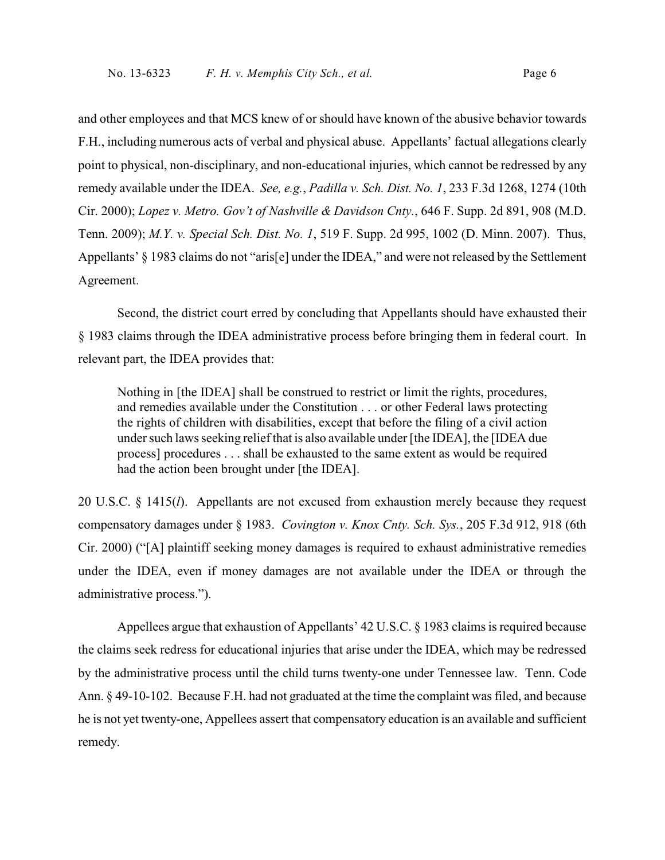and other employees and that MCS knew of or should have known of the abusive behavior towards F.H., including numerous acts of verbal and physical abuse. Appellants' factual allegations clearly point to physical, non-disciplinary, and non-educational injuries, which cannot be redressed by any remedy available under the IDEA. *See, e.g.*, *Padilla v. Sch. Dist. No. 1*, 233 F.3d 1268, 1274 (10th Cir. 2000); *Lopez v. Metro. Gov't of Nashville & Davidson Cnty.*, 646 F. Supp. 2d 891, 908 (M.D. Tenn. 2009); *M.Y. v. Special Sch. Dist. No. 1*, 519 F. Supp. 2d 995, 1002 (D. Minn. 2007). Thus, Appellants' § 1983 claims do not "aris[e] under the IDEA," and were not released by the Settlement Agreement.

Second, the district court erred by concluding that Appellants should have exhausted their § 1983 claims through the IDEA administrative process before bringing them in federal court. In relevant part, the IDEA provides that:

Nothing in [the IDEA] shall be construed to restrict or limit the rights, procedures, and remedies available under the Constitution . . . or other Federal laws protecting the rights of children with disabilities, except that before the filing of a civil action under such laws seeking relief that is also available under [the IDEA], the [IDEA due process] procedures . . . shall be exhausted to the same extent as would be required had the action been brought under [the IDEA].

20 U.S.C. § 1415(*l*). Appellants are not excused from exhaustion merely because they request compensatory damages under § 1983. *Covington v. Knox Cnty. Sch. Sys.*, 205 F.3d 912, 918 (6th Cir. 2000) ("[A] plaintiff seeking money damages is required to exhaust administrative remedies under the IDEA, even if money damages are not available under the IDEA or through the administrative process.").

Appellees argue that exhaustion of Appellants' 42 U.S.C. § 1983 claims is required because the claims seek redress for educational injuries that arise under the IDEA, which may be redressed by the administrative process until the child turns twenty-one under Tennessee law. Tenn. Code Ann. § 49-10-102. Because F.H. had not graduated at the time the complaint was filed, and because he is not yet twenty-one, Appellees assert that compensatory education is an available and sufficient remedy.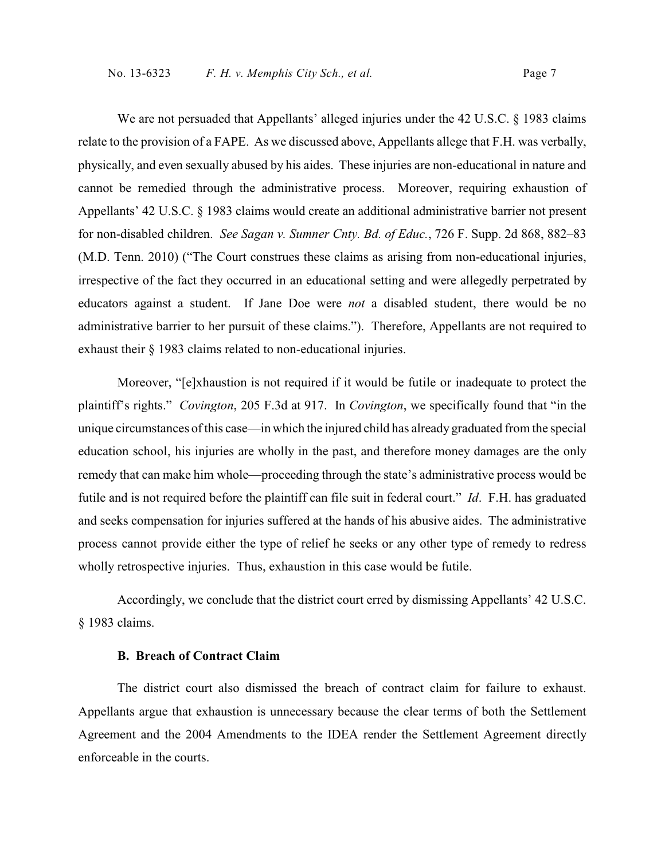We are not persuaded that Appellants' alleged injuries under the 42 U.S.C. § 1983 claims relate to the provision of a FAPE. As we discussed above, Appellants allege that F.H. was verbally, physically, and even sexually abused by his aides. These injuries are non-educational in nature and cannot be remedied through the administrative process. Moreover, requiring exhaustion of Appellants' 42 U.S.C. § 1983 claims would create an additional administrative barrier not present for non-disabled children. *See Sagan v. Sumner Cnty. Bd. of Educ.*, 726 F. Supp. 2d 868, 882–83 (M.D. Tenn. 2010) ("The Court construes these claims as arising from non-educational injuries, irrespective of the fact they occurred in an educational setting and were allegedly perpetrated by educators against a student. If Jane Doe were *not* a disabled student, there would be no administrative barrier to her pursuit of these claims."). Therefore, Appellants are not required to exhaust their § 1983 claims related to non-educational injuries.

Moreover, "[e]xhaustion is not required if it would be futile or inadequate to protect the plaintiff's rights." *Covington*, 205 F.3d at 917. In *Covington*, we specifically found that "in the unique circumstances of this case—in which the injured child has already graduated from the special education school, his injuries are wholly in the past, and therefore money damages are the only remedy that can make him whole—proceeding through the state's administrative process would be futile and is not required before the plaintiff can file suit in federal court." *Id*. F.H. has graduated and seeks compensation for injuries suffered at the hands of his abusive aides. The administrative process cannot provide either the type of relief he seeks or any other type of remedy to redress wholly retrospective injuries. Thus, exhaustion in this case would be futile.

Accordingly, we conclude that the district court erred by dismissing Appellants' 42 U.S.C. § 1983 claims.

# **B. Breach of Contract Claim**

The district court also dismissed the breach of contract claim for failure to exhaust. Appellants argue that exhaustion is unnecessary because the clear terms of both the Settlement Agreement and the 2004 Amendments to the IDEA render the Settlement Agreement directly enforceable in the courts.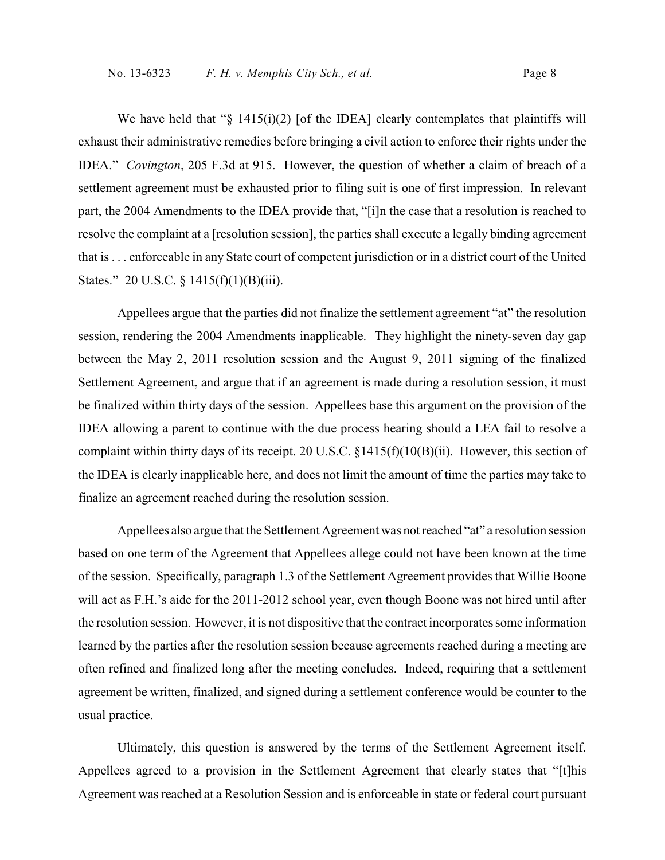We have held that " $\S$  1415(i)(2) [of the IDEA] clearly contemplates that plaintiffs will exhaust their administrative remedies before bringing a civil action to enforce their rights under the IDEA." *Covington*, 205 F.3d at 915. However, the question of whether a claim of breach of a settlement agreement must be exhausted prior to filing suit is one of first impression. In relevant part, the 2004 Amendments to the IDEA provide that, "[i]n the case that a resolution is reached to resolve the complaint at a [resolution session], the parties shall execute a legally binding agreement that is . . . enforceable in any State court of competent jurisdiction or in a district court of the United States." 20 U.S.C. § 1415(f)(1)(B)(iii).

Appellees argue that the parties did not finalize the settlement agreement "at" the resolution session, rendering the 2004 Amendments inapplicable. They highlight the ninety-seven day gap between the May 2, 2011 resolution session and the August 9, 2011 signing of the finalized Settlement Agreement, and argue that if an agreement is made during a resolution session, it must be finalized within thirty days of the session. Appellees base this argument on the provision of the IDEA allowing a parent to continue with the due process hearing should a LEA fail to resolve a complaint within thirty days of its receipt. 20 U.S.C. §1415(f)(10(B)(ii). However, this section of the IDEA is clearly inapplicable here, and does not limit the amount of time the parties may take to finalize an agreement reached during the resolution session.

Appellees also argue that the Settlement Agreement was not reached "at" a resolution session based on one term of the Agreement that Appellees allege could not have been known at the time of the session. Specifically, paragraph 1.3 of the Settlement Agreement provides that Willie Boone will act as F.H.'s aide for the 2011-2012 school year, even though Boone was not hired until after the resolution session. However, it is not dispositive that the contract incorporates some information learned by the parties after the resolution session because agreements reached during a meeting are often refined and finalized long after the meeting concludes. Indeed, requiring that a settlement agreement be written, finalized, and signed during a settlement conference would be counter to the usual practice.

Ultimately, this question is answered by the terms of the Settlement Agreement itself. Appellees agreed to a provision in the Settlement Agreement that clearly states that "[t]his Agreement was reached at a Resolution Session and is enforceable in state or federal court pursuant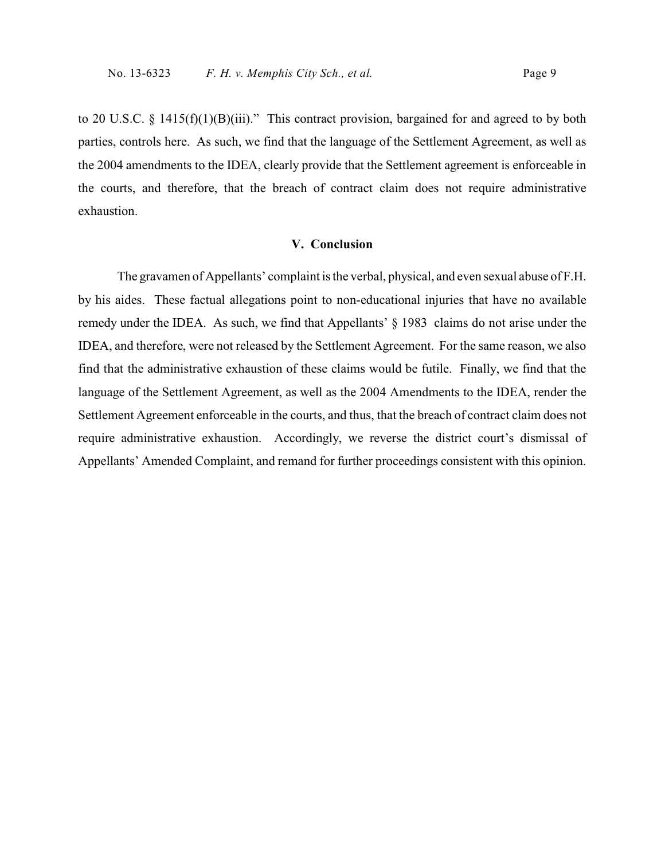to 20 U.S.C. § 1415(f)(1)(B)(iii)." This contract provision, bargained for and agreed to by both parties, controls here. As such, we find that the language of the Settlement Agreement, as well as the 2004 amendments to the IDEA, clearly provide that the Settlement agreement is enforceable in the courts, and therefore, that the breach of contract claim does not require administrative exhaustion.

### **V. Conclusion**

The gravamen of Appellants' complaint is the verbal, physical, and even sexual abuse of F.H. by his aides. These factual allegations point to non-educational injuries that have no available remedy under the IDEA. As such, we find that Appellants' § 1983 claims do not arise under the IDEA, and therefore, were not released by the Settlement Agreement. For the same reason, we also find that the administrative exhaustion of these claims would be futile. Finally, we find that the language of the Settlement Agreement, as well as the 2004 Amendments to the IDEA, render the Settlement Agreement enforceable in the courts, and thus, that the breach of contract claim does not require administrative exhaustion. Accordingly, we reverse the district court's dismissal of Appellants' Amended Complaint, and remand for further proceedings consistent with this opinion.